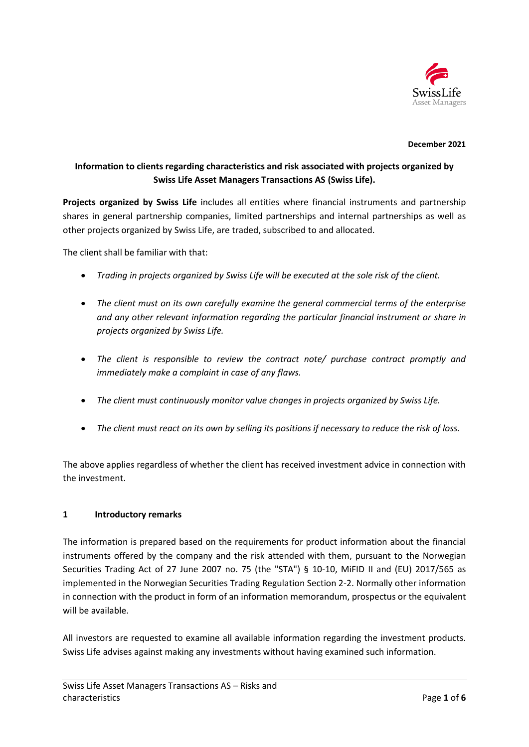

#### **December 2021**

# **Information to clients regarding characteristics and risk associated with projects organized by Swiss Life Asset Managers Transactions AS (Swiss Life).**

**Projects organized by Swiss Life** includes all entities where financial instruments and partnership shares in general partnership companies, limited partnerships and internal partnerships as well as other projects organized by Swiss Life, are traded, subscribed to and allocated.

The client shall be familiar with that:

- *Trading in projects organized by Swiss Life will be executed at the sole risk of the client.*
- *The client must on its own carefully examine the general commercial terms of the enterprise and any other relevant information regarding the particular financial instrument or share in projects organized by Swiss Life.*
- *The client is responsible to review the contract note/ purchase contract promptly and immediately make a complaint in case of any flaws.*
- *The client must continuously monitor value changes in projects organized by Swiss Life.*
- *The client must react on its own by selling its positions if necessary to reduce the risk of loss.*

The above applies regardless of whether the client has received investment advice in connection with the investment.

#### **1 Introductory remarks**

The information is prepared based on the requirements for product information about the financial instruments offered by the company and the risk attended with them, pursuant to the Norwegian Securities Trading Act of 27 June 2007 no. 75 (the "STA") § 10-10, MiFID II and (EU) 2017/565 as implemented in the Norwegian Securities Trading Regulation Section 2-2. Normally other information in connection with the product in form of an information memorandum, prospectus or the equivalent will be available.

All investors are requested to examine all available information regarding the investment products. Swiss Life advises against making any investments without having examined such information.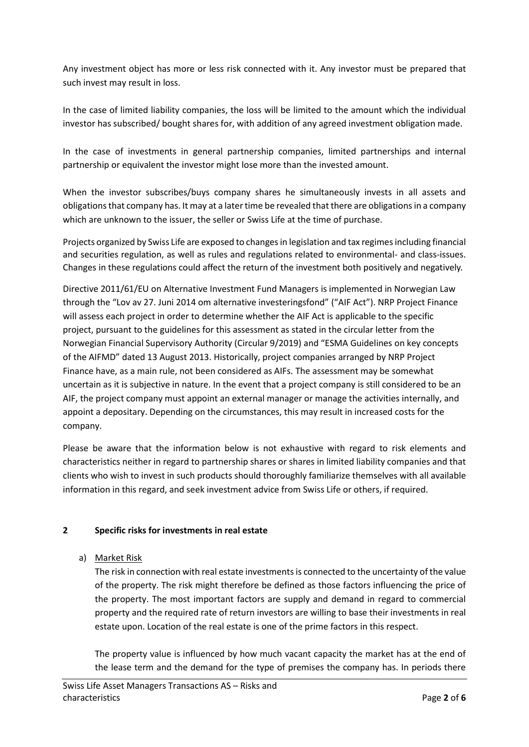Any investment object has more or less risk connected with it. Any investor must be prepared that such invest may result in loss.

In the case of limited liability companies, the loss will be limited to the amount which the individual investor has subscribed/ bought shares for, with addition of any agreed investment obligation made.

In the case of investments in general partnership companies, limited partnerships and internal partnership or equivalent the investor might lose more than the invested amount.

When the investor subscribes/buys company shares he simultaneously invests in all assets and obligations that company has. It may at a later time be revealed that there are obligations in a company which are unknown to the issuer, the seller or Swiss Life at the time of purchase.

Projects organized by Swiss Life are exposed to changes in legislation and tax regimes including financial and securities regulation, as well as rules and regulations related to environmental- and class-issues. Changes in these regulations could affect the return of the investment both positively and negatively.

Directive 2011/61/EU on Alternative Investment Fund Managers is implemented in Norwegian Law through the "Lov av 27. Juni 2014 om alternative investeringsfond" ("AIF Act"). NRP Project Finance will assess each project in order to determine whether the AIF Act is applicable to the specific project, pursuant to the guidelines for this assessment as stated in the circular letter from the Norwegian Financial Supervisory Authority (Circular 9/2019) and "ESMA Guidelines on key concepts of the AIFMD" dated 13 August 2013. Historically, project companies arranged by NRP Project Finance have, as a main rule, not been considered as AIFs. The assessment may be somewhat uncertain as it is subjective in nature. In the event that a project company is still considered to be an AIF, the project company must appoint an external manager or manage the activities internally, and appoint a depositary. Depending on the circumstances, this may result in increased costs for the company.

Please be aware that the information below is not exhaustive with regard to risk elements and characteristics neither in regard to partnership shares or shares in limited liability companies and that clients who wish to invest in such products should thoroughly familiarize themselves with all available information in this regard, and seek investment advice from Swiss Life or others, if required.

#### **2 Specific risks for investments in real estate**

a) Market Risk

The risk in connection with real estate investments is connected to the uncertainty of the value of the property. The risk might therefore be defined as those factors influencing the price of the property. The most important factors are supply and demand in regard to commercial property and the required rate of return investors are willing to base their investments in real estate upon. Location of the real estate is one of the prime factors in this respect.

The property value is influenced by how much vacant capacity the market has at the end of the lease term and the demand for the type of premises the company has. In periods there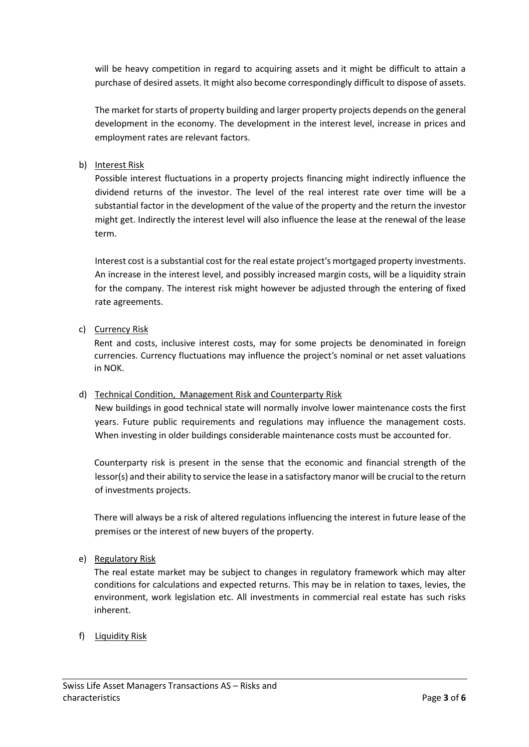will be heavy competition in regard to acquiring assets and it might be difficult to attain a purchase of desired assets. It might also become correspondingly difficult to dispose of assets.

The market for starts of property building and larger property projects depends on the general development in the economy. The development in the interest level, increase in prices and employment rates are relevant factors.

### b) Interest Risk

Possible interest fluctuations in a property projects financing might indirectly influence the dividend returns of the investor. The level of the real interest rate over time will be a substantial factor in the development of the value of the property and the return the investor might get. Indirectly the interest level will also influence the lease at the renewal of the lease term.

Interest cost is a substantial cost for the real estate project's mortgaged property investments. An increase in the interest level, and possibly increased margin costs, will be a liquidity strain for the company. The interest risk might however be adjusted through the entering of fixed rate agreements.

## c) Currency Risk

Rent and costs, inclusive interest costs, may for some projects be denominated in foreign currencies. Currency fluctuations may influence the project's nominal or net asset valuations in NOK.

#### d) Technical Condition, Management Risk and Counterparty Risk

New buildings in good technical state will normally involve lower maintenance costs the first years. Future public requirements and regulations may influence the management costs. When investing in older buildings considerable maintenance costs must be accounted for.

Counterparty risk is present in the sense that the economic and financial strength of the lessor(s) and their ability to service the lease in a satisfactory manor will be crucial to the return of investments projects.

There will always be a risk of altered regulations influencing the interest in future lease of the premises or the interest of new buyers of the property.

#### e) Regulatory Risk

The real estate market may be subject to changes in regulatory framework which may alter conditions for calculations and expected returns. This may be in relation to taxes, levies, the environment, work legislation etc. All investments in commercial real estate has such risks inherent.

#### f) Liquidity Risk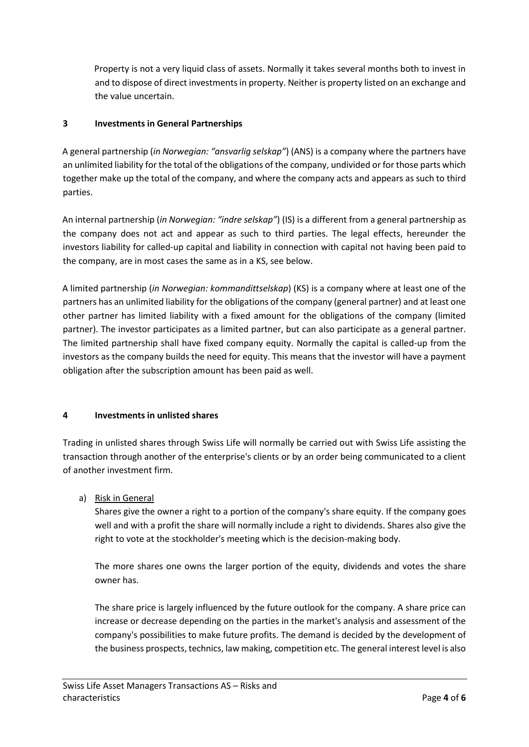Property is not a very liquid class of assets. Normally it takes several months both to invest in and to dispose of direct investments in property. Neither is property listed on an exchange and the value uncertain.

## **3 Investments in General Partnerships**

A general partnership (*in Norwegian: "ansvarlig selskap"*) (ANS) is a company where the partners have an unlimited liability for the total of the obligations of the company, undivided or for those parts which together make up the total of the company, and where the company acts and appears as such to third parties.

An internal partnership (*in Norwegian: "indre selskap"*) (IS) is a different from a general partnership as the company does not act and appear as such to third parties. The legal effects, hereunder the investors liability for called-up capital and liability in connection with capital not having been paid to the company, are in most cases the same as in a KS, see below.

A limited partnership (*in Norwegian: kommandittselskap*) (KS) is a company where at least one of the partners has an unlimited liability for the obligations of the company (general partner) and at least one other partner has limited liability with a fixed amount for the obligations of the company (limited partner). The investor participates as a limited partner, but can also participate as a general partner. The limited partnership shall have fixed company equity. Normally the capital is called-up from the investors as the company builds the need for equity. This means that the investor will have a payment obligation after the subscription amount has been paid as well.

#### **4 Investments in unlisted shares**

Trading in unlisted shares through Swiss Life will normally be carried out with Swiss Life assisting the transaction through another of the enterprise's clients or by an order being communicated to a client of another investment firm.

a) Risk in General

Shares give the owner a right to a portion of the company's share equity. If the company goes well and with a profit the share will normally include a right to dividends. Shares also give the right to vote at the stockholder's meeting which is the decision-making body.

The more shares one owns the larger portion of the equity, dividends and votes the share owner has.

The share price is largely influenced by the future outlook for the company. A share price can increase or decrease depending on the parties in the market's analysis and assessment of the company's possibilities to make future profits. The demand is decided by the development of the business prospects, technics, law making, competition etc. The general interest level is also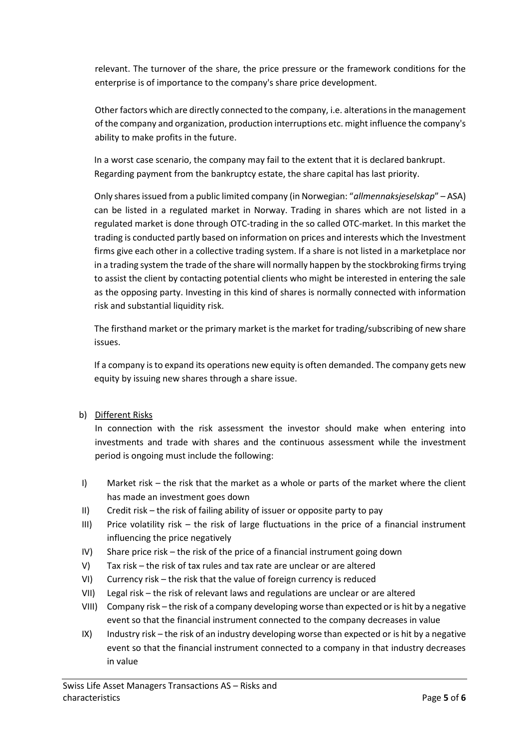relevant. The turnover of the share, the price pressure or the framework conditions for the enterprise is of importance to the company's share price development.

Other factors which are directly connected to the company, i.e. alterations in the management of the company and organization, production interruptions etc. might influence the company's ability to make profits in the future.

In a worst case scenario, the company may fail to the extent that it is declared bankrupt. Regarding payment from the bankruptcy estate, the share capital has last priority.

Only shares issued from a public limited company (in Norwegian: "*allmennaksjeselskap*" – ASA) can be listed in a regulated market in Norway. Trading in shares which are not listed in a regulated market is done through OTC-trading in the so called OTC-market. In this market the trading is conducted partly based on information on prices and interests which the Investment firms give each other in a collective trading system. If a share is not listed in a marketplace nor in a trading system the trade of the share will normally happen by the stockbroking firms trying to assist the client by contacting potential clients who might be interested in entering the sale as the opposing party. Investing in this kind of shares is normally connected with information risk and substantial liquidity risk.

The firsthand market or the primary market is the market for trading/subscribing of new share issues.

If a company is to expand its operations new equity is often demanded. The company gets new equity by issuing new shares through a share issue.

b) Different Risks

In connection with the risk assessment the investor should make when entering into investments and trade with shares and the continuous assessment while the investment period is ongoing must include the following:

- I) Market risk the risk that the market as a whole or parts of the market where the client has made an investment goes down
- II) Credit risk the risk of failing ability of issuer or opposite party to pay
- III) Price volatility risk the risk of large fluctuations in the price of a financial instrument influencing the price negatively
- IV) Share price risk the risk of the price of a financial instrument going down
- V) Tax risk the risk of tax rules and tax rate are unclear or are altered
- VI) Currency risk the risk that the value of foreign currency is reduced
- VII) Legal risk the risk of relevant laws and regulations are unclear or are altered
- VIII) Company risk the risk of a company developing worse than expected or is hit by a negative event so that the financial instrument connected to the company decreases in value
- IX) Industry risk the risk of an industry developing worse than expected or is hit by a negative event so that the financial instrument connected to a company in that industry decreases in value